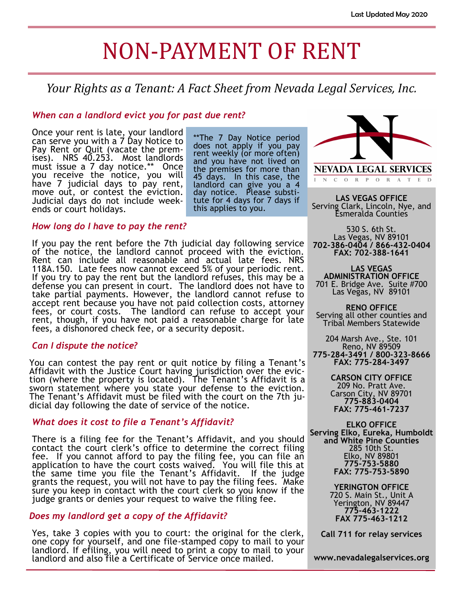# NON-PAYMENT OF RENT

### *Your Rights as a Tenant: A Fact Sheet from Nevada Legal Services, Inc.*

#### *When can a landlord evict you for past due rent?*

Once your rent is late, your landlord can serve you with a 7 Day Notice to Pay Rent or Quit (vacate the premises). NRS 40.253. Most landlords must issue a 7 day notice.\*\* Once you receive the notice, you will have 7 judicial days to pay rent, move out, or contest the eviction. Judicial days do not include weekends or court holidays.

\*\*The 7 Day Notice period does not apply if you pay rent weekly (or more often) and you have not lived on the premises for more than 45 days. In this case, the landlord can give you a 4 day notice. Please substitute for 4 days for 7 days if this applies to you.

#### *How long do I have to pay the rent?*

If you pay the rent before the 7th judicial day following service of the notice, the landlord cannot proceed with the eviction. Rent can include all reasonable and actual late fees. NRS 118A.150. Late fees now cannot exceed 5% of your periodic rent. If you try to pay the rent but the landlord refuses, this may be a defense you can present in court. The landlord does not have to take partial payments. However, the landlord cannot refuse to accept rent because you have not paid collection costs, attorney fees, or court costs. The landlord can refuse to accept your rent, though, if you have not paid a reasonable charge for late fees, a dishonored check fee, or a security deposit.

#### *Can I dispute the notice?*

You can contest the pay rent or quit notice by filing a Tenant's Affidavit with the Justice Court having jurisdiction over the eviction (where the property is located). The Tenant's Affidavit is a sworn statement where you state your defense to the eviction. The Tenant's Affidavit must be filed with the court on the 7th judicial day following the date of service of the notice.

#### *What does it cost to file a Tenant's Affidavit?*

There is a filing fee for the Tenant's Affidavit, and you should contact the court clerk's office to determine the correct filing fee. If you cannot afford to pay the filing fee, you can file an application to have the court costs waived. You will file this at the same time you file the Tenant's Affidavit. If the judge grants the request, you will not have to pay the filing fees. Make sure you keep in contact with the court clerk so you know if the judge grants or denies your request to waive the filing fee.

#### *Does my landlord get a copy of the Affidavit?*

Yes, take 3 copies with you to court: the original for the clerk, one copy for yourself, and one file-stamped copy to mail to your landlord. If efiling, you will need to print a copy to mail to your landlord and also file a Certificate of Service once mailed.



INCORPORATED

**LAS VEGAS OFFICE** Serving Clark, Lincoln, Nye, and Esmeralda Counties

530 S. 6th St. Las Vegas, NV 89101 **702-386-0404 / 866-432-0404 FAX: 702-388-1641**

**LAS VEGAS ADMINISTRATION OFFICE** 701 E. Bridge Ave. Suite #700 Las Vegas, NV 89101

**RENO OFFICE** Serving all other counties and Tribal Members Statewide

204 Marsh Ave., Ste. 101 Reno, NV 89509 **775-284-3491 / 800-323-8666 FAX: 775-284-3497**

> **CARSON CITY OFFICE** 209 No. Pratt Ave. Carson City, NV 89701 **775-883-0404 FAX: 775-461-7237**

**ELKO OFFICE Serving Elko, Eureka, Humboldt and White Pine Counties** 285 10th St. Elko, NV 89801 **775-753-5880 FAX: 775-753-5890**

> **YERINGTON OFFICE** 720 S. Main St., Unit A Yerington, NV 89447 **775-463-1222 FAX 775-463-1212**

**Call 711 for relay services**

**www.nevadalegalservices.org**